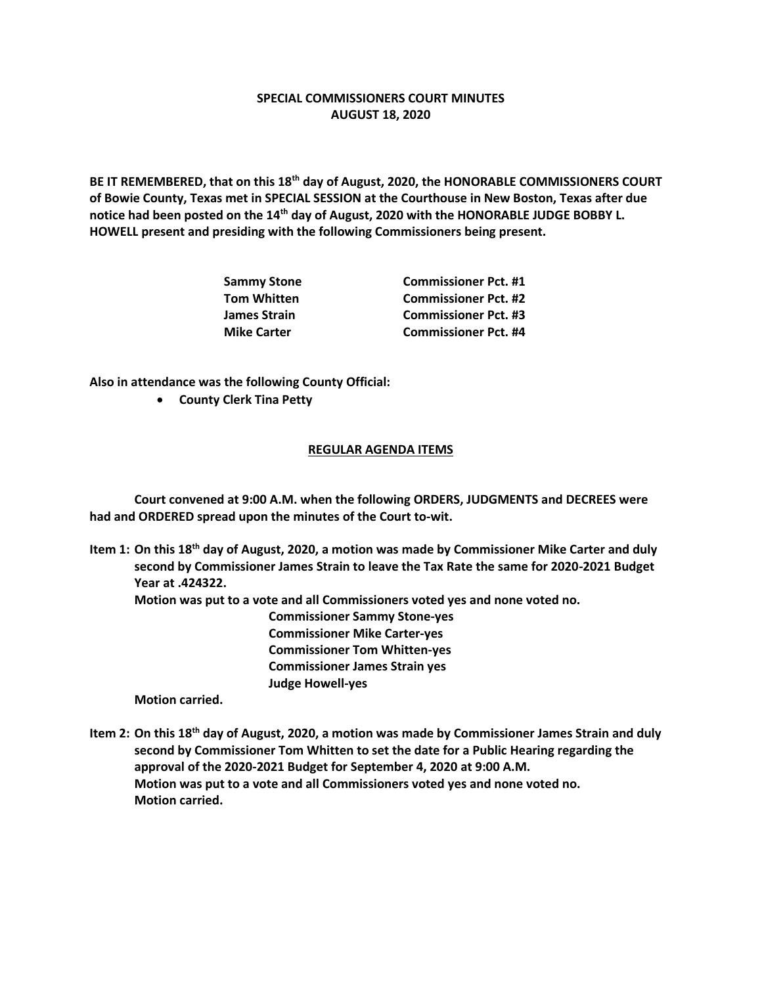## **SPECIAL COMMISSIONERS COURT MINUTES AUGUST 18, 2020**

**BE IT REMEMBERED, that on this 18th day of August, 2020, the HONORABLE COMMISSIONERS COURT of Bowie County, Texas met in SPECIAL SESSION at the Courthouse in New Boston, Texas after due notice had been posted on the 14th day of August, 2020 with the HONORABLE JUDGE BOBBY L. HOWELL present and presiding with the following Commissioners being present.**

| Sammy Stone<br>Tom Whitten | <b>Commissioner Pct. #1</b> |
|----------------------------|-----------------------------|
|                            | <b>Commissioner Pct. #2</b> |
| James Strain               | <b>Commissioner Pct. #3</b> |
| <b>Mike Carter</b>         | <b>Commissioner Pct. #4</b> |

**Also in attendance was the following County Official:**

• **County Clerk Tina Petty**

## **REGULAR AGENDA ITEMS**

**Court convened at 9:00 A.M. when the following ORDERS, JUDGMENTS and DECREES were had and ORDERED spread upon the minutes of the Court to-wit.**

**Item 1: On this 18th day of August, 2020, a motion was made by Commissioner Mike Carter and duly second by Commissioner James Strain to leave the Tax Rate the same for 2020-2021 Budget Year at .424322.**

**Motion was put to a vote and all Commissioners voted yes and none voted no.**

**Commissioner Sammy Stone-yes Commissioner Mike Carter-yes Commissioner Tom Whitten-yes Commissioner James Strain yes Judge Howell-yes**

**Motion carried.**

**Item 2: On this 18th day of August, 2020, a motion was made by Commissioner James Strain and duly second by Commissioner Tom Whitten to set the date for a Public Hearing regarding the approval of the 2020-2021 Budget for September 4, 2020 at 9:00 A.M. Motion was put to a vote and all Commissioners voted yes and none voted no. Motion carried.**